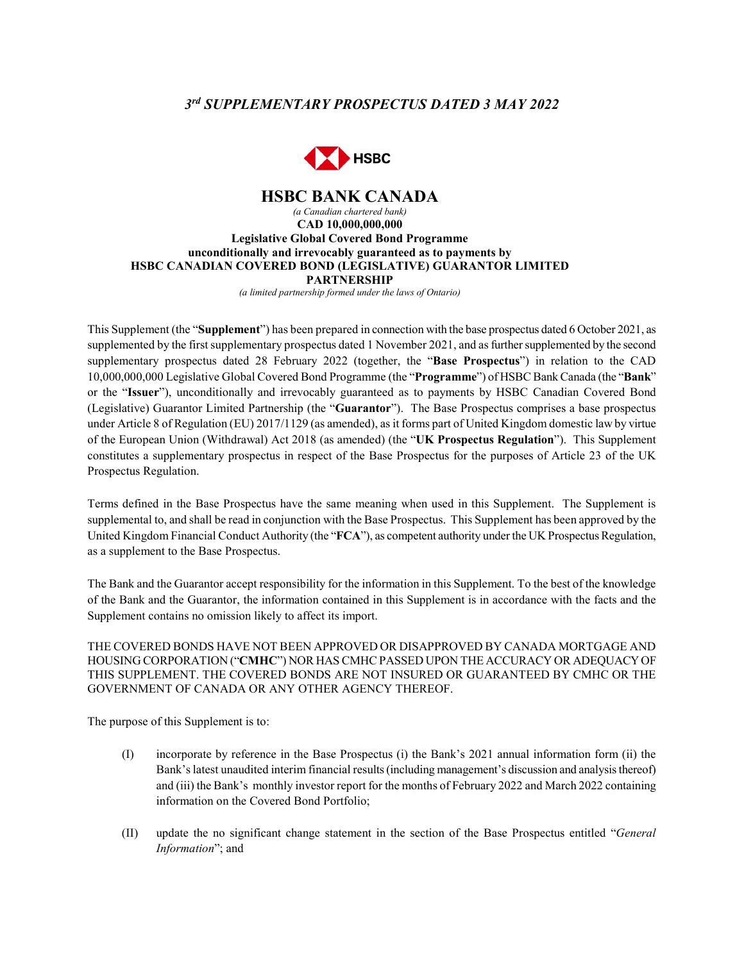# *3rd SUPPLEMENTARY PROSPECTUS DATED 3 MAY 2022*



#### **HSBC BANK CANADA** *(a Canadian chartered bank)* **CAD 10,000,000,000 Legislative Global Covered Bond Programme unconditionally and irrevocably guaranteed as to payments by HSBC CANADIAN COVERED BOND (LEGISLATIVE) GUARANTOR LIMITED PARTNERSHIP**

*(a limited partnership formed under the laws of Ontario)*

This Supplement (the "**Supplement**") has been prepared in connection with the base prospectus dated 6 October 2021, as supplemented by the first supplementary prospectus dated 1 November 2021, and as further supplemented by the second supplementary prospectus dated 28 February 2022 (together, the "**Base Prospectus**") in relation to the CAD 10,000,000,000 Legislative Global Covered Bond Programme (the "**Programme**") of HSBC Bank Canada (the "**Bank**" or the "**Issuer**"), unconditionally and irrevocably guaranteed as to payments by HSBC Canadian Covered Bond (Legislative) Guarantor Limited Partnership (the "**Guarantor**"). The Base Prospectus comprises a base prospectus under Article 8 of Regulation (EU) 2017/1129 (as amended), as it forms part of United Kingdom domestic law by virtue of the European Union (Withdrawal) Act 2018 (as amended) (the "**UK Prospectus Regulation**"). This Supplement constitutes a supplementary prospectus in respect of the Base Prospectus for the purposes of Article 23 of the UK Prospectus Regulation.

Terms defined in the Base Prospectus have the same meaning when used in this Supplement. The Supplement is supplemental to, and shall be read in conjunction with the Base Prospectus. This Supplement has been approved by the United Kingdom Financial Conduct Authority (the "**FCA**"), as competent authority under the UK Prospectus Regulation, as a supplement to the Base Prospectus.

The Bank and the Guarantor accept responsibility for the information in this Supplement. To the best of the knowledge of the Bank and the Guarantor, the information contained in this Supplement is in accordance with the facts and the Supplement contains no omission likely to affect its import.

THE COVERED BONDS HAVE NOT BEEN APPROVED OR DISAPPROVED BY CANADA MORTGAGE AND HOUSING CORPORATION ("**CMHC**") NOR HAS CMHC PASSED UPON THE ACCURACY OR ADEQUACY OF THIS SUPPLEMENT. THE COVERED BONDS ARE NOT INSURED OR GUARANTEED BY CMHC OR THE GOVERNMENT OF CANADA OR ANY OTHER AGENCY THEREOF.

The purpose of this Supplement is to:

- (I) incorporate by reference in the Base Prospectus (i) the Bank's 2021 annual information form (ii) the Bank's latest unaudited interim financial results (including management's discussion and analysis thereof) and (iii) the Bank's monthly investor report for the months of February 2022 and March 2022 containing information on the Covered Bond Portfolio;
- (II) update the no significant change statement in the section of the Base Prospectus entitled "*General Information*"; and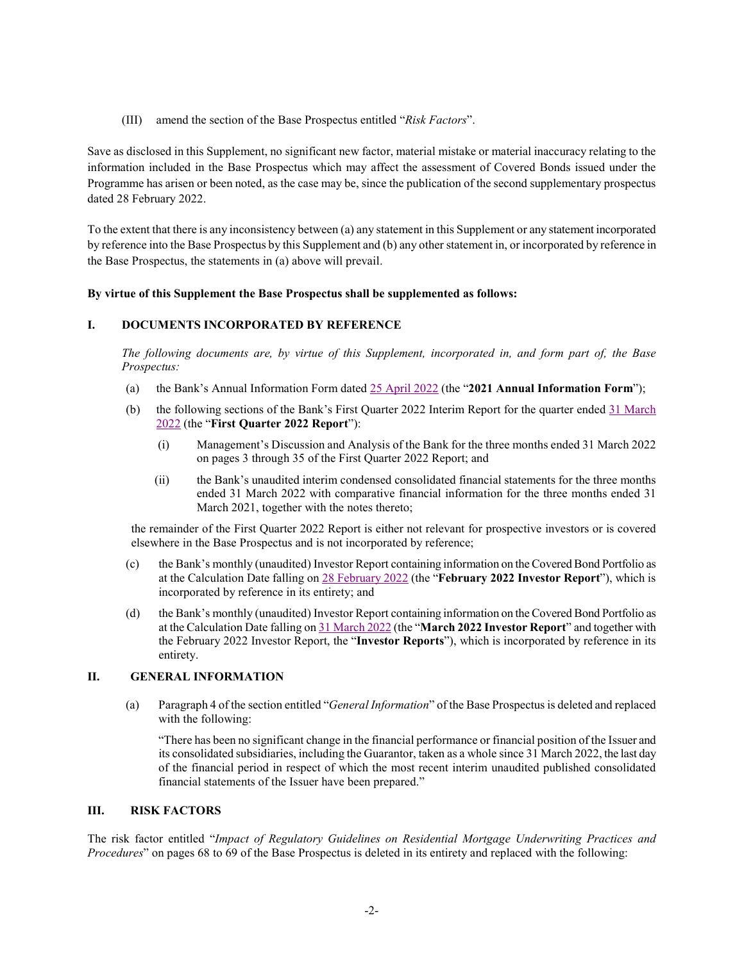(III) amend the section of the Base Prospectus entitled "*Risk Factors*".

Save as disclosed in this Supplement, no significant new factor, material mistake or material inaccuracy relating to the information included in the Base Prospectus which may affect the assessment of Covered Bonds issued under the Programme has arisen or been noted, as the case may be, since the publication of the second supplementary prospectus dated 28 February 2022.

To the extent that there is any inconsistency between (a) any statement in this Supplement or any statement incorporated by reference into the Base Prospectus by this Supplement and (b) any other statement in, or incorporated by reference in the Base Prospectus, the statements in (a) above will prevail.

## **By virtue of this Supplement the Base Prospectus shall be supplemented as follows:**

## **I. DOCUMENTS INCORPORATED BY REFERENCE**

*The following documents are, by virtue of this Supplement, incorporated in, and form part of, the Base Prospectus:*

- (a) the Bank's Annual Information Form dated 25 [April 2022](https://www.about.hsbc.ca/-/media/canada/en/hsbc-in-canada/legislative-covered-bond-programme/offering-documents/220502-hsbc-bank-canada-annual-information-form-2021.pdf) (the "**2021 Annual Information Form**");
- (b) the following sections of the Bank's First Quarter 2022 Interim Report for the quarter ended [31 March](https://www.hsbc.com/-/files/hsbc/investors/hsbc-results/2022/1q/pdfs/hsbc-bank-canada/220429-hsbc-bank-canada-interim-report-q1-2022.pdf)  [2022](https://www.hsbc.com/-/files/hsbc/investors/hsbc-results/2022/1q/pdfs/hsbc-bank-canada/220429-hsbc-bank-canada-interim-report-q1-2022.pdf) (the "**First Quarter 2022 Report**"):
	- (i) Management's Discussion and Analysis of the Bank for the three months ended 31 March 2022 on pages 3 through 35 of the First Quarter 2022 Report; and
	- (ii) the Bank's unaudited interim condensed consolidated financial statements for the three months ended 31 March 2022 with comparative financial information for the three months ended 31 March 2021, together with the notes thereto;

the remainder of the First Quarter 2022 Report is either not relevant for prospective investors or is covered elsewhere in the Base Prospectus and is not incorporated by reference;

- (c) the Bank's monthly (unaudited) Investor Report containing information on the Covered Bond Portfolio as at the Calculation Date falling on [28 February 2022](https://www.about.hsbc.ca/-/media/canada/en/hsbc-in-canada/legislative-covered-bond-programme/monthly-investor-reports/220322-monthly-investor-report-legislative-feb-pdf.pdf) (the "**February 2022 Investor Report**"), which is incorporated by reference in its entirety; and
- (d) the Bank's monthly (unaudited) Investor Report containing information on the Covered Bond Portfolio as at the Calculation Date falling o[n 31 March 2022](https://www.about.hsbc.ca/-/media/canada/en/hsbc-in-canada/legislative-covered-bond-programme/monthly-investor-reports/220422-monthly-investor-report-legislative-mar-pdf.pdf) (the "**March 2022 Investor Report**" and together with the February 2022 Investor Report, the "**Investor Reports**"), which is incorporated by reference in its entirety.

## **II. GENERAL INFORMATION**

(a) Paragraph 4 of the section entitled "*General Information*" of the Base Prospectus is deleted and replaced with the following:

"There has been no significant change in the financial performance or financial position of the Issuer and its consolidated subsidiaries, including the Guarantor, taken as a whole since 31 March 2022, the last day of the financial period in respect of which the most recent interim unaudited published consolidated financial statements of the Issuer have been prepared."

## **III. RISK FACTORS**

The risk factor entitled "*Impact of Regulatory Guidelines on Residential Mortgage Underwriting Practices and Procedures*" on pages 68 to 69 of the Base Prospectus is deleted in its entirety and replaced with the following: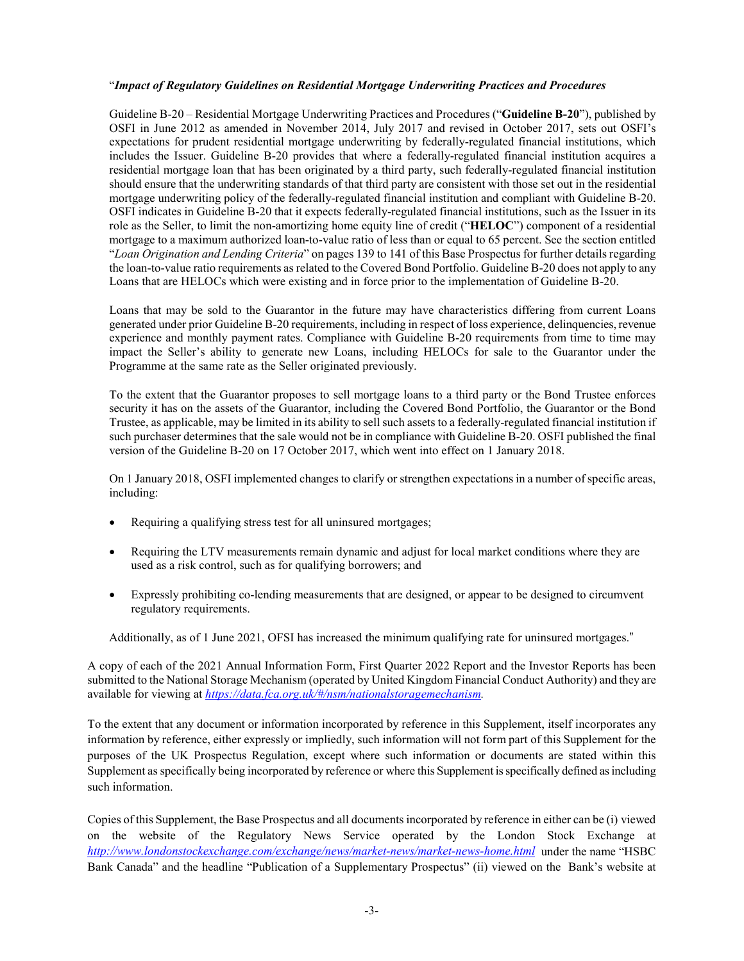#### "*Impact of Regulatory Guidelines on Residential Mortgage Underwriting Practices and Procedures*

Guideline B-20 – Residential Mortgage Underwriting Practices and Procedures ("**Guideline B-20**"), published by OSFI in June 2012 as amended in November 2014, July 2017 and revised in October 2017, sets out OSFI's expectations for prudent residential mortgage underwriting by federally-regulated financial institutions, which includes the Issuer. Guideline B-20 provides that where a federally-regulated financial institution acquires a residential mortgage loan that has been originated by a third party, such federally-regulated financial institution should ensure that the underwriting standards of that third party are consistent with those set out in the residential mortgage underwriting policy of the federally-regulated financial institution and compliant with Guideline B-20. OSFI indicates in Guideline B-20 that it expects federally-regulated financial institutions, such as the Issuer in its role as the Seller, to limit the non-amortizing home equity line of credit ("**HELOC**") component of a residential mortgage to a maximum authorized loan-to-value ratio of less than or equal to 65 percent. See the section entitled "*Loan Origination and Lending Criteria*" on pages 139 to 141 of this Base Prospectus for further details regarding the loan-to-value ratio requirements as related to the Covered Bond Portfolio. Guideline B-20 does not apply to any Loans that are HELOCs which were existing and in force prior to the implementation of Guideline B-20.

Loans that may be sold to the Guarantor in the future may have characteristics differing from current Loans generated under prior Guideline B-20 requirements, including in respect of loss experience, delinquencies, revenue experience and monthly payment rates. Compliance with Guideline B-20 requirements from time to time may impact the Seller's ability to generate new Loans, including HELOCs for sale to the Guarantor under the Programme at the same rate as the Seller originated previously.

To the extent that the Guarantor proposes to sell mortgage loans to a third party or the Bond Trustee enforces security it has on the assets of the Guarantor, including the Covered Bond Portfolio, the Guarantor or the Bond Trustee, as applicable, may be limited in its ability to sell such assets to a federally-regulated financial institution if such purchaser determines that the sale would not be in compliance with Guideline B-20. OSFI published the final version of the Guideline B-20 on 17 October 2017, which went into effect on 1 January 2018.

On 1 January 2018, OSFI implemented changes to clarify or strengthen expectations in a number of specific areas, including:

- Requiring a qualifying stress test for all uninsured mortgages;
- Requiring the LTV measurements remain dynamic and adjust for local market conditions where they are used as a risk control, such as for qualifying borrowers; and
- Expressly prohibiting co-lending measurements that are designed, or appear to be designed to circumvent regulatory requirements.

Additionally, as of 1 June 2021, OFSI has increased the minimum qualifying rate for uninsured mortgages."

A copy of each of the 2021 Annual Information Form, First Quarter 2022 Report and the Investor Reports has been submitted to the National Storage Mechanism (operated by United Kingdom Financial Conduct Authority) and they are available for viewing at *[https://data.fca.org.uk/#/nsm/nationalstoragemechanism.](https://data.fca.org.uk/#/nsm/nationalstoragemechanism)* 

To the extent that any document or information incorporated by reference in this Supplement, itself incorporates any information by reference, either expressly or impliedly, such information will not form part of this Supplement for the purposes of the UK Prospectus Regulation, except where such information or documents are stated within this Supplement as specifically being incorporated by reference or where this Supplement is specifically defined as including such information.

Copies of this Supplement, the Base Prospectus and all documents incorporated by reference in either can be (i) viewed on the website of the Regulatory News Service operated by the London Stock Exchange at *<http://www.londonstockexchange.com/exchange/news/market-news/market-news-home.html>* under the name "HSBC Bank Canada" and the headline "Publication of a Supplementary Prospectus" (ii) viewed on the Bank's website at